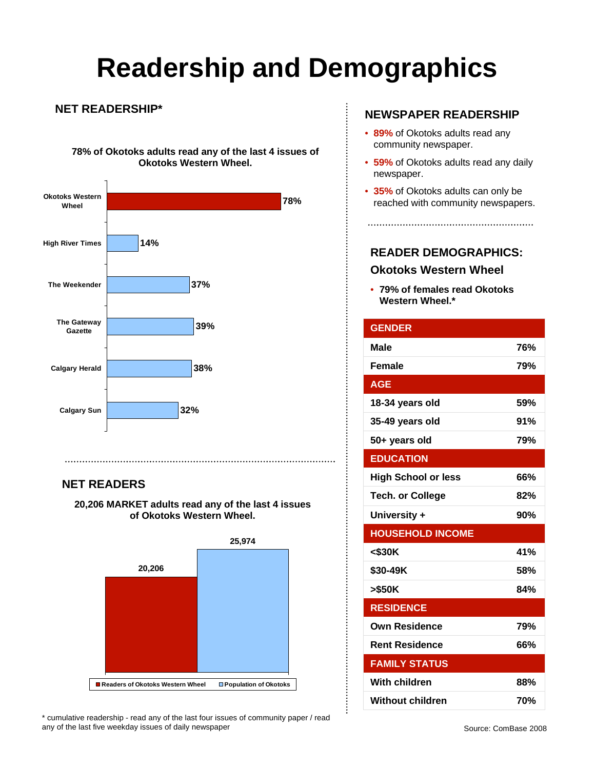# **Readership and Demographics**

 $\vdots$ 

### **NET READERSHIP\***

**78% of Okotoks adults read any of the last 4 issues of Okotoks Western Wheel.**



### **NET READERS**

**20,206 MARKET adults read any of the last 4 issues of Okotoks Western Wheel.** 



\* cumulative readership - read any of the last four issues of community paper / read any of the last five weekday issues of daily newspaper

### **NEWSPAPER READERSHIP**

- **89%** of Okotoks adults read any community newspaper.
- **59%** of Okotoks adults read any daily newspaper.
- **35%** of Okotoks adults can only be reached with community newspapers.

### **READER DEMOGRAPHICS:**

#### **Okotoks Western Wheel**

• **79% of females read Okotoks Western Wheel.\***

| <b>GENDER</b>              |     |
|----------------------------|-----|
| <b>Male</b>                | 76% |
| <b>Female</b>              | 79% |
| <b>AGE</b>                 |     |
| 18-34 years old            | 59% |
| 35-49 years old            | 91% |
| 50+ years old              | 79% |
| <b>EDUCATION</b>           |     |
| <b>High School or less</b> | 66% |
| <b>Tech. or College</b>    | 82% |
| University +               | 90% |
| <b>HOUSEHOLD INCOME</b>    |     |
| $<$ \$30K                  | 41% |
| \$30-49K                   | 58% |
| >\$50K                     | 84% |
| <b>RESIDENCE</b>           |     |
| <b>Own Residence</b>       | 79% |
| <b>Rent Residence</b>      | 66% |
| <b>FAMILY STATUS</b>       |     |
| <b>With children</b>       | 88% |
| <b>Without children</b>    | 70% |